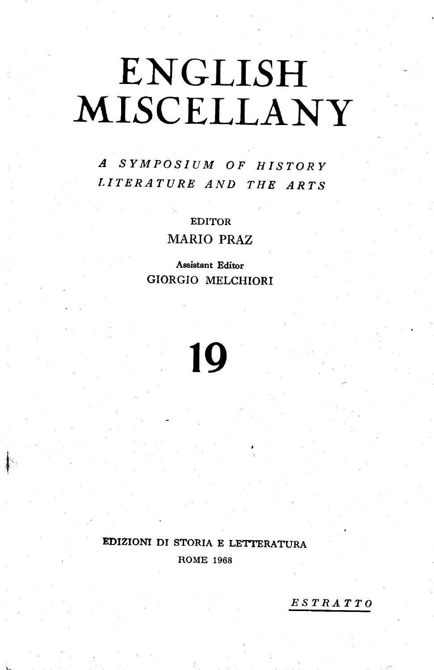# ENCLISH MISCELLANY

A SYMPOSIUM OF HISTORY T.ITERATURE AND THE ARTS

> EDITOR MARIO PRAZ

Assistant Editor GIORGIO MELCHIORI



## EDIZIOM DI STORIA E LET'TERATURA ROME 1968

ESTRATTO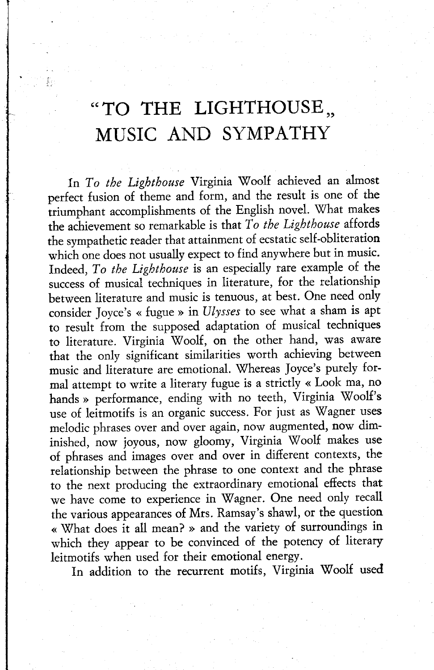# "TO THE LIGHTHOUSE, MUSIC AND SYMPATHY

In To the Lighthouse Virginia Woolf achieved an almost perfect fusion of theme and fotm, and the result is one of the triumphant accomplishments of the English novel. \X/hat makes the achievement so remarkable is that To the Lighthouse affords the sympathetic reader that attainment of ecstatic self-obliteration which one does not usually expect to find anywhere but in music. Indeed, To the Lighthouse is an especially rare example of the success of musical techniques in literature, for the relationship between literature and music is tenuous, at best. One need only consider Joyce's « fugue » in Ulysses to see what a sham is apt to result from the supposed adaptation of musical techniques to literature. Virginia Woolf, on the other hand, was aware that the only significant similarities worth achieving between music and literature are emotional. Whereas Joyce's purely formal attempt to write a literary fugue is a strictly « Look ma, no hands » performance, ending with no teeth, Virginia Woolf's use of leitmotifs is an organic success. For just as Wagner uses melodic phrases over and over again, now augmented, now diminished, now joyous, now gloomy, Virginia Woolf makes use of phrases and images over and over in different contexts, the relationship between the phrase to one context and the phrase to the next producing the extraordinary emotional efiects that we have come to experience in Wagner. One need only recall the various appearances of Mrs. Ramsay's shawl, or the question « What does it all mean? » and the variety of surroundings in which they appear to be convinced of the potency of literary leitmotifs when used for their emotional enetgy.

In addition to the recurrent motifs, Virginia Woolf used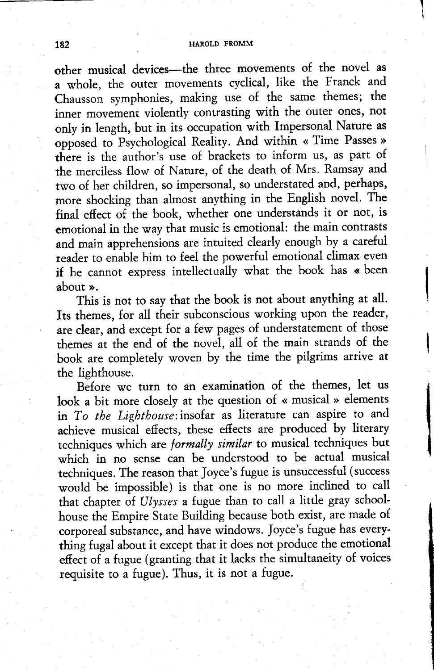#### 182 HAROLD FROMM

other musical devices-the three movements of the novel as a whole, the outer movements cyclical, like the Franck and Chausson symphonies, making use of the same themes; the inner movement violently contrasting with the outer ones, not only in length, but in its occupation with Impersonal Nature as opposed to Psychological Reality. And within << Time Passes >> there is the author's use of brackets to inform us, as part of the merciless flow of Nature, of the death of Mrs. Ramsay and two of her children, so impersonal, so understated and, perhaps, more shocking than almost anything in the English novel. The final efiect of the book, whether one understands it or not, is emotional in the way that music is emotional: the main contrasts and main apprehensions are intuited cleatly enough by a careful reader to enable him to feel the powerful emotional climax even if he cannot express intellectually what the book has « been about ».

This is not to say that the book is not about anything at all. Its themes, fot all their subconscious wotking upon the reader, are clear, and except fot a few pages of understatement of those themes at the end of the novel, all of the main strands of the book are completely woven by the time the pilgrims atrive at the lighthouse.

Before we turn to an examination of the themes, let us look a bit more closely at the question of « musical » elements in To the Ligbthouse:insofar as literature can aspire to and achieve musical effects, these effects are produced by literary techniques which are *formally similar* to musical techniques but which in no sense can be understood to be actual musical techniques. The reason that Joyce's fugue is unsuccessful (success would be impossible) is that one is no more inclined to call that chapter of Ulysses a fugue than to call a little gray schoolhouse the Empire State Building because both exist, are made of corporeal substance, and have windows. Joyce's fugue has everything fugal about it except that it does not produce the emotional effect of a fugue (granting that it lacks the simultaneity of voices requisite to a fugue). Thus, it is not a fugue.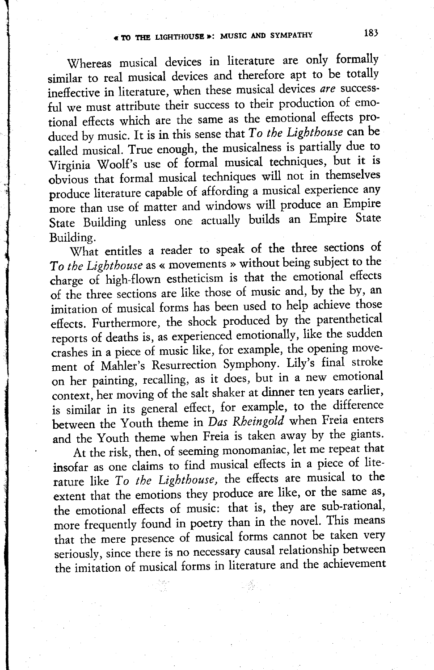Whereas musical devices in literature are only formally similar to real musical devices and therefore apt to be totally ineffective in literature, when these musical devices are successful we must attribute their success to their production of emotional effects which are the same as the emotional effects produced by music. It is in this sense that To the Lighthouse can be called musical. True enough, the musicalness is partially due to Virginia Woolf's use of formal musical techniques, but it is obvious that formal musical techniques will not in themselves produce literature capable of affording a musical experience any more than use of matter and windows will produce an Empire State Building unless one actually builds an Empire State Building.

What entitles a reader to speak of the three sections of To the Lighthouse as « movements » without being subject to the charge of high-flown estheticism is that the emotional effects of the three sections are like those of music and, by the by, an imitation of musical forms has been used to help achieve those effects. Furthermore, the shock produced by the parenthetical reports of deaths is, as experienced emotionally, like the sudden crashes in a piece of music like, for example, the opening movement of Mahler's Resurrection Symphony. Lily's final stroke on her painting, recalling, as it does, but in a new emotional context, her moving of the salt shaker at dinner ten years earlier, is similar in its general effect, for example, to the difference between the Youth theme in Das Rheingold when Freia enters and the Youth theme when Freia is taken away by the giants.

At the risk, then, of seeming monomaniac, let me repeat that insofar as one claims to find musical efiects in a piece of literature like To the Lighthouse, the effects are musical to the extent that the emotions they produce are like, or the same as, the emotional effects of music: that is, they are sub-rational, more frequently found in poetry than in the novel. This means that the mere presence of musical forms cannot be taken very seriously, since there is no necessary causal relationship between the imitation of musical forms in literature and the achievement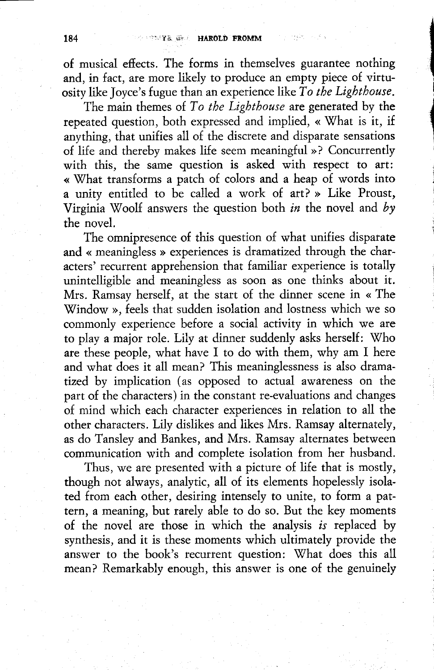of musical efiects. The forms in themselves guarantee nothing and, in fact, are more likely to produce an empty piece of virtuosity like Joyce's fugue than an experience like To the Lighthouse.

I

i

The main themes of  $To$  the Lighthouse are generated by the repeated question, both expressed and implied, « What is it, if anything, that unifies all of the discrete and disparate sensations of life and thereby makes life seem meaningful »? Concurrently with this, the same question is asked with respect to art: « What transforms a patch of colors and a heap of words into a unity entitled to be called a work of art? » Like Proust, Virginia Woolf answers the question both in the novel and by the novel.

The omnipresence of this question of what unifies disparate and « meaningless » experiences is dramatized through the characters' recurrent apprehension that familiar experience is totally unintelligible and meaningless as soon as one thinks about it. Mrs. Ramsay herself, at the start of the dinner scene in < The \Tindow >>, feels that sudden isolation and lostness which we so commonly experience before a social activity in which we are to play a major role. Lily at dinner suddenly asks herself: Who are these people, what have I to do with them, why am I here and what does it all mean? This meaninglessness is also dramatized by implication (as opposed to actual awareness on the part of the characters) in the constant te-evaluations and changes of mind which each character experiences in relation to all the other characters. Lily dislikes and likes Mrs. Ramsay alternately, as do Tansley and Bankes, and Mrs. Ramsay alternates between communication with and complete isolation from her husband.

Thus, we are presented with a picture of life that is mostly, though not always, analytic, all of its elements hopelessly isolated from each other, desiring intensely to unite, to form a pattern, a meaning, but rarely able to do so. But the key moments of the novel are those in which the analysis is replaced by synthesis, and it is these moments which ultimately provide the answer to the book's recurrent question: What does this all mean? Remarkably enough, this answet is one of the genuinely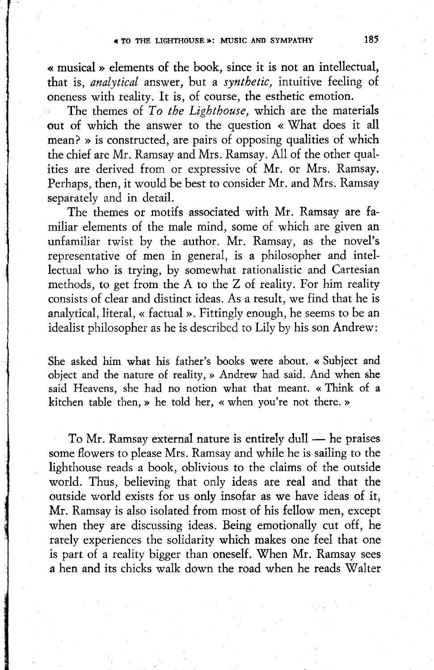« musical » elements of the book, since it is not an intellectual, that is, analytical answer, but a synthetic, intuitive feeling of oneness with reality. It is, of coutse, the esthetic emotion.

The themes of To the Lighthouse, which are the materials out of which the answer to the question « What does it all mean? » is constructed, are pairs of opposing qualities of which the chief are Mr. Ramsay and Mrs. Ramsay. A11 of the other qualities are derived from or expressive of Mr. or Mrs. Ramsay. Perhaps, then, it would be best to consider Mr. and Mrs. Ramsay separately and in detail.

The themes or motifs associated with Mr. Ramsay are familiar elements of the male mind, some of which are given an unfamiliar twist by the author. Mr. Ramsay, as the novel's representative of men in general, is a philosopher and intellectual who is trying, by somewhat rationalistic and Cartesian methods, to get from the A to the Z of reality. For him reality consists of clear and distinct ideas. As a result, we find that he is analytical, literal, « factual ». Fittingly enough, he seems to be an idealist philosopher as he is described to Lily by his son Andrew:

She asked him what his father's books wete about. << Subject and object and the nature of reality, » Andrew had said. And when she said Heavens, she had no notion what that meant. < Think of a kitchen table then, » he told her, « when you're not there. »

To Mr. Ramsay external nature is entirely dull - he praises some flowers to please Mrs. Ramsay and while he is sailing to the lighthouse reads a book, oblivious to the claims of the outside world. Thus, believing that only ideas are real and that the outside world exists for us only insofar as we have ideas of it, Mr. Ramsay is also isolated from most of his fellow men, except when they are discussing ideas. Being emotionally cut off, he rarely experiences the solidarity which makes one feel that one is part of a reality bigger than oneself. When Mr. Ramsay sees  $\alpha$  hen and its chicks walk down the road when he reads Walter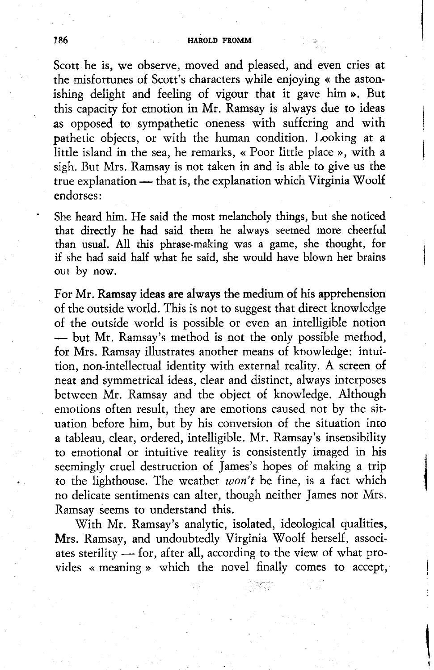#### 186 **HAROLD FROMM**

Scott he is, we observe, moved and pleased, and even cries at the misfortunes of Scott's characters while enjoying << the astonishing delight and feeling of vigout that it gave him >. But this capacity for emotion in Mr. Ramsay is always due to ideas as opposed to sympathetic oneness with suffering and with pathetic objects, or with the human condition. Looking at a little island in the sea, he remarks, « Poor little place », with a sigh. But Mrs. Ramsay is not taken in and is able to give us the true explanation  $-$  that is, the explanation which Virginia Woolf endorses:

She heard him. He said the most melancholy things, but she noticed that direcdy he had said them he always seemed more cheerful than usual. All this phtase-making was a game, she thought, for if she had said half what he said, she would have blown her brains out by now.

For Mr. Ramsay ideas are always the medium of his apptehension of the outside world. This is not to suggest that direct knowledge of the outside world is possible or even an intelligible notion - but Mr. Ramsay's method is not the only possible method, for Mrs. Ramsay illustrates another means of knowledge: intuition, non-intellectual identity with external reality. A screen of neat and symmetrical ideas, clear and distinct, always interposes between Mr. Ramsay and the object of knowledge. Although emotions often result, they are emotions caused not by the situation before him, but by his conversion of the situation into a tableau, clear, ordered, intelligible. Mr. Ramsay's insensibility to emotional or intuitive reality is consistently imaged in his seemingly cruel destruction of James's hopes of making a trip to the lighthouse. The weather  $won't$  be fine, is a fact which no delicate sentiments can alter, though neither James nor Mrs. Ramsay seems to understand this.

With Mr. Ramsay's analytic, isolated, ideological qualities, Mrs. Ramsay, and undoubtedly Virginia Woolf herself, associates sterility - for, after all, according to the view of what provides « meaning » which the novel finally comes to accept,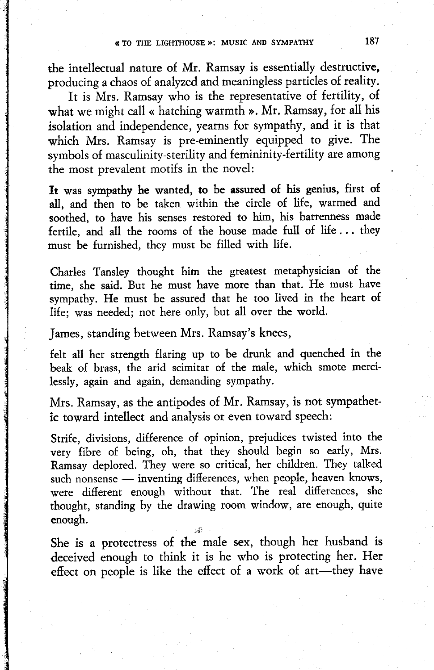the intellectual nature of Mr. Ramsay is essentially desructive, producing a chaos of analyzed and meaningless particles of reality.

It is Mrs. Ramsay who is the representative of fertility, of what we might call « hatching warmth ». Mr. Ramsay, for all his isolation and independence, yearns fot sympathy, and it is that which Mrs. Ramsay is pre-eminently equipped to give. The symbols of masculinity-sterility and femininity-fertility are among the most prevalent motifs in the novel:

It was sympathy he wanted, to be assured of his genius, first of all, and then to be taken within the circle of life, warmed and soothed, to have his senses restored to him, his barrenness made fertile, and all the rooms of the house made full of life . . . they must be futnished, they must be filled with life.

Charles Tansley thought him the greatest metaphysician of the time, she said. But he must have more than that. He must have sympathy. He must be assured that he too lived in the heart of life; was needed; not here only, but all over the wotld.

James, standing between Mrs. Ramsay's knees,

felt all her strength flaring up to be drunk and quenched in the beak of brass, the arid scimitar of the male, which smote mercilessly, again and again, demanding sympathy.

Mrs. Ramsay, as the antipodes of Mr. Ramsay, is not sympathetic toward intellect and analysis or even toward speech:

Strife, divisions, difference of opinion, prejudices twisted into the very fibre of being, oh, that they should begin so early, Mrs. Ramsay deplored. They were so critical, her children. They talked such nonsense - inventing differences, when people, heaven knows, were difierent enough without that. The real difierences, she thought, standing by the drawing room window, are enough, quite enough. :i:

She is a protectress of the male sex, though het husband is deceived enough to think it is he who is protecting her. Her effect on people is like the effect of a work of art-they have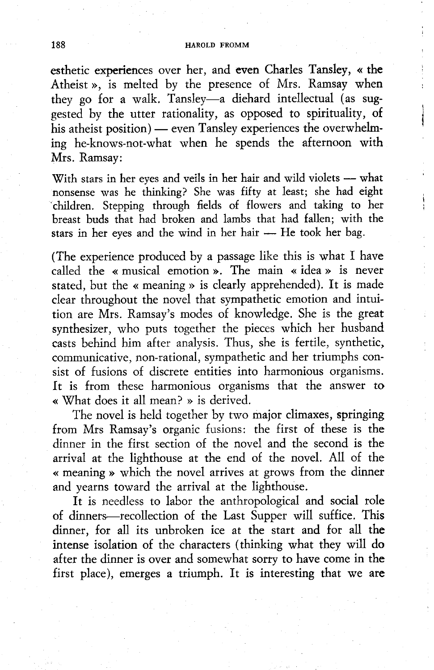#### 188 **HAROLD FROMM**

esthetic experiences over her, and even Charles Tansley, « the Atheist », is melted by the presence of Mrs. Ramsay when they go for a walk. Tansley-a diehard intellectual (as suggested by the utter rationality, as opposed to spirituality, of his atheist position) — even Tansley experiences the overwhelming he-knows-not-what when he spends the afternoon with Mrs. Ramsay:

With stars in her eyes and veils in her hair and wild violets - what nonsense was he thinking? She was fitty at least; she had eight 'children. Stepping through fields of flowers and taking to het breast buds that had broken and lambs that had fallen; with the stars in her eyes and the wind in her hair - He took her bag.

(The experience produced by a passage like this is what I have called the « musical emotion ». The main « idea » is never stated, but the « meaning » is clearly apprehended). It is made clear throughout the novel that sympathetic emotion and intuition are Mrs. Ramsay's modes of knowledge. She is the great synthesizer, who puts together the pieces which her husband casts behind him after analysis. Thus, she is fertile, synthetic, communicative, non-rational, sympathetic and her triumphs consist of fusions of discrete entities into harmonious organisms. It is from these harmonious organisms that the answer to  $\cdot$  What does it all mean? » is derived.

The novel is held together by two majot climaxes, springing from Mrs Ramsay's organic fusions: the first of these is the dinner in the first section of the novel and the second is the arrival at the lighthouse at the end of the novel. All of the « meaning » which the novel arrives at grows from the dinner and yearns toward the arrival at the lighthouse.

It is needless to labor the anthropological and social role of dinners-recollection of the Last Supper will suffice. This dinner, for all its unbroken ice at the start and for all the intense isolation of the characters (thinking what they will do after the dinner is over and somewhat sorry to have come in the first place), emerges a triumph. It is interesting that we are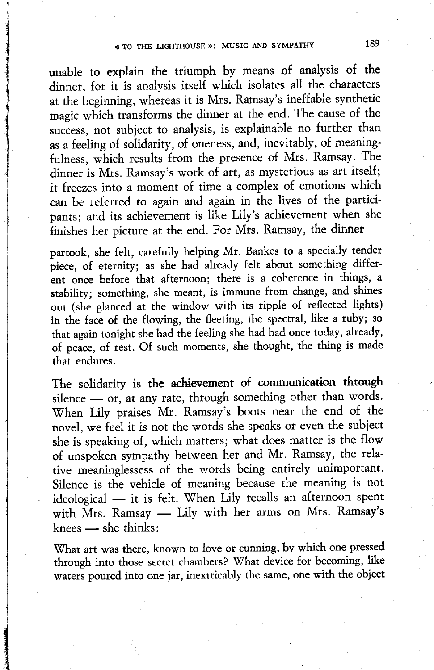unable to explain the triumph by means of analysis of the dinner, for it is analysis itself which isolates all the characters at the beginning, whereas it is Mrs. Ramsay's ineffable synthetic magic which transforms the dinner at the end. The cause of the success, not subject to analysis, is explainable no further than as a feeling of solidarity, of oneness, and, inevitably, of meaningfulness, which results ftom the presence of Mrs. Ramsay. The dinner is Mrs. Ramsay's work of art, as mysterious as art itself; it freezes into a moment of time a complex of emotions which can be refered to again and again in the lives of the partici pants; and its achievement is like Lily's achievement when she finishes her picture at the end. For Mts. Ramsay, the dinner

partook, she felt, carefully helping Mr. Bankes to a specially tender piece, of eternity; as she had already felt about something different once before that afternoon; there is a coherence in things, a stability; something, she meant, is immune from change, and shines out (she glanced at the window with its ripple of reflected lights) in the face of the flowing, the fleeting, the spectral, like a ruby; so that again tonight she had the feeling she had had once today, already, of peace, of rest. Of such moments, she thought, the thing is made that endures.

The solidarity is the achievement of communication through silence - or, at any rate, through something other than words. When Lily praises Mr. Ramsay's boots near the end of the novel, we feel it is not the words she speaks or even the subject she is speaking of, which matters; what does matter is the flow of unspoken sympathy between her and Mr. Ramsay, the relative meaninglessess of the words being entirely unimportant. Silence is the vehicle of meaning because the meaning is not ideological - it is felt. When Lily recalls an afternoon spent with Mrs. Ramsay - Lily with her arms on Mrs. Ramsay's knees  $-$  she thinks:

What art was there, known to love or cunning, by which one pressed through into those secret chambers? What device for becoming, like waters poured into one jar, inextricably the same, one with the object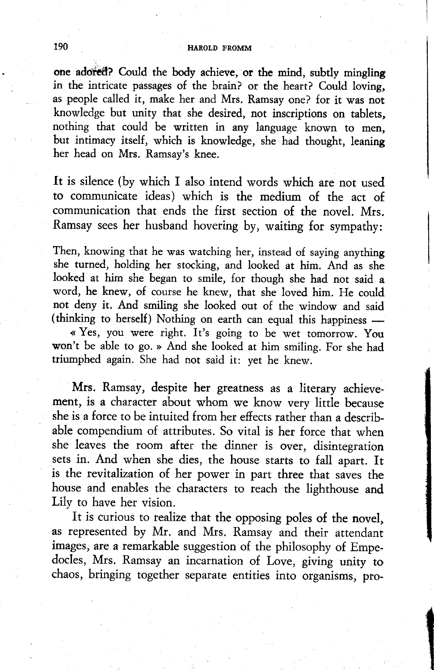one adored? Could the body achieve, or the mind, subtly mingling in the intricate passages of the brain? or the heart? Could loving, as people called it, make her and Mrs. Ramsay one? for it was not knowledge but unity that she desired, not inscriptions on tablets, nothing that could be written in any language known to men, but intimary itself, which is knowledge, she had thought, leaning her head on Mrs. Ramsay's knee.

It is silence (by which I also intend words which are nor used to communicate ideas) which is the medium of the act of communication that ends the first section of the novel. Mrs. Ramsay sees her husband hovering by, waiting {or sympathy:

Then, knowing that he was watching her, instead of saying anything she turned, holding her stocking, and looked at him. And as she looked at him she began to smile, for though she had not said a word, he knew, of course he knew, that she loved him. He could not deny it. And smiling she looked out of the window and said (thinking to herself) Nothing on earth can equal this happiness -

« Yes, you were right. It's going to be wet tomorrow. You won't be able to go. » And she looked at him smiling. For she had triumphed again. She had not said it: yet he knew.

Mrs. Ramsay, despite her greatness as a literary achievement, is a character about whom we know very little because she is a force to be intuited from her efiects rather than a describable compendium of attributes. So vital is her force that when she leaves the room after the dinner is over, disintegration sets in. And when she dies, the house starts to fall apart. It is the revitalization of her power in part three that saves the house and enables the characters to reach the lighthouse and Lily to have her vision.

It is curious to realize that the opposing poles of the novel, as represented by Mr. and Mrs. Ramsay and their attendanr images, are a remarkable suggestion of the philosophy of Empedocles, Mrs. Ramsay an incarnation of Love, giving unity to chaos, bringing together separate entities into organisms, pro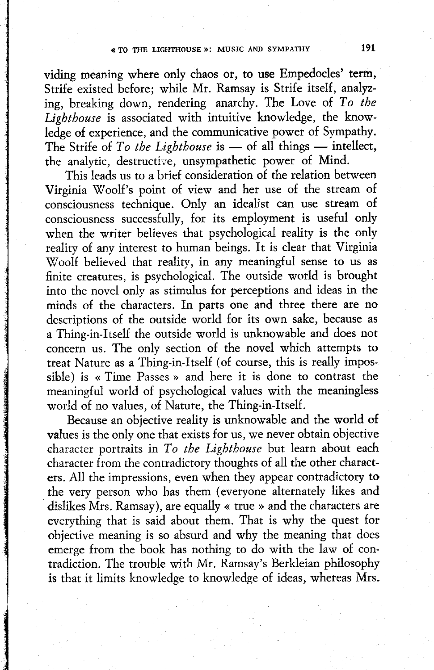viding meaning where only chaos or, to use Empedocles' term, Strife existed before; while Mr. Ramsay is Strife itself, analyz' ing, breaking down, rendering anarchy. The Love of To the Lighthouse is associated with intuitive knowledge, the knowledge of experience, and the communicative power of Sympathy. The Strife of  $To$  the Lighthouse is - of all things - intellect, the analytic, destructive, unsympathetic power of Mind.

This leads us to a brief consideration of the relation between Virginia Woolf's point of view and her use of the stream of consciousness technique. Only an idealist can use stream of consciousness successfully, for its employment is useful only when the writer believes that psychological reality is the only reality of any interest to human beings. It is clear that Virginia \7oolf believed that reality, in any meaningful sense to us as finite creatures, is psychological. The outside wotld is brought into the novel only as stimulus for petceptions and ideas in the minds of the characters. In parts one and three there are no descriptions o{ the outside world for its own sake, because as a Thing-in-Itself the outside world is unknowable and does not concern us. The only section of the novel which attempts to treat Nature as a Thing-in-Itself (of course, this is really impossible) is « Time Passes » and here it is done to contrast the meaningful world of psychological values with the meaningless world of no values, of Nature, the Thing-in-Itself.

Because an obiective reality is unknowable and the world of values is the only one that exists for us, we never obtain objective character portraits in To the Lighthouse but learn about each character from the contradictory thoughts of all the other characters. All the impressions, even when they appear contradictory to the very person who has them (everyone alternately likes and dislikes Mrs. Ramsay), are equally « true » and the characters are everything that is said about them. That is why the quest for objective meaning is so absurd and why the meaning that does emerge from the book has nothing to do with the law of conradiction. The trouble with Mr. Ramsay's Berkleian philosophy is that it limits knowledge to knowledge of ideas, whereas Mrs.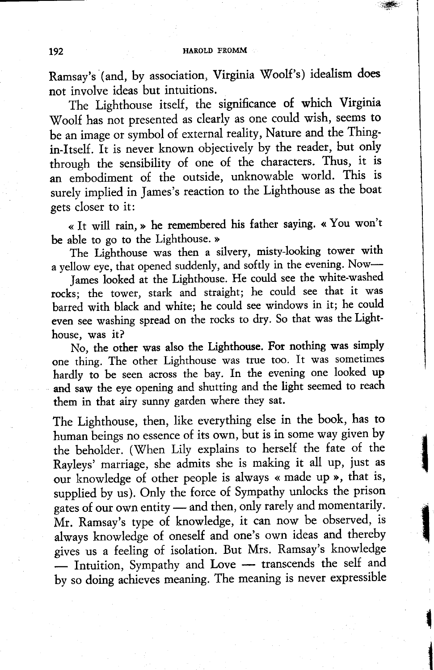#

t

in the complete second second in the contract of the contract of the contract of the contract of the contract of the contract of the contract of the contract of the contract of the contract of the contract of the contract

Ramsay's (and, by association, Virginia Woolf's) idealism does not involve ideas but intuitions.

The Lighthouse itself, the significance of which Virginia Woolf has not presented as clearly as one could wish, seems to be an image or symbol of external reality, Nature and the Thingin-Itself. It is never known objectively by the reader, but only through the sensibility of one of the characters. Thus, it is an embodiment of the outside, unknowable world. This is surely implied in James's reaction to the Lighthouse as the boat gets closer to it:

<< It will tain, > he remembered his father saying. << You won't be able to go to the Lighthouse. »

The Lighthouse was then a silvery, misty-looking tower with a yellow eye, that opened suddenly, and softly in the evening. Now-

James looked at the Lighthouse. He could see the white-washed rocks; the tower, stark and straight; he could see that it was barred with black and white; he could see windows in it; he could even see washing spread on the rocks to dry. So that was the Lighthouse, was it?

No, the other was also the Lighthouse. Fot nothing was simply one thing. The othet Lighthouse was true too. It was sometimes hardly to be seen across the bay. In the evening one looked up and saw the eye opening and shutting and the light seemed to reach them in that airy sunny garden where they sat.

The Lighthouse, then, like everything else in the book, has to human beings no essence of its own, but is in some way given by the beholder. (When Lily explains to herself the fate of the Rayleys' maniage, she admits she is making it all up, just as our knowledge of other people is always « made up », that is, supplied by us). Only the force of Sympathy unlocks the prison gates of our own entity  $-$  and then, only rarely and momentarily. Mr. Ramsay's type of knowledge, it can now be observed, is always knowledge of oneself and one's own ideas and thereby gives us a feeling of isolation. But Mrs. Ramsay's knowledge  $-$  Intuition, Sympathy and Love  $-$  transcends the self and by so doing achieves meaning. The meaning is never expressible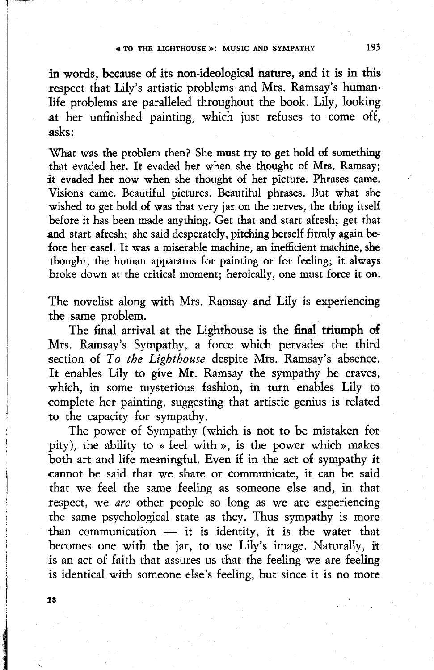in words, because of its non-ideological nature, and it is in this respect that Lily's artistic problems and Mrs. Ramsay's humanlife problems are paralleled throughout the book. Lily, looking at her unfinished painting, which just refuses to come off. asks:

What was the problem then? She must try to get hold of something that evaded her. It evaded her when she thought of Mrs. Ramsay; it evaded het now when she thought of het picture. Phtases came. Visions came. Beautiful pictures. Beautiful phrases. But what she wished to get hold of was that very jar on the nerves, the thing itself before it has been made anything. Get that and start afresh; get that and start afresh; she said desperately, pitching herself firmly again before her easel. It was a miserable machine, an inefficient machine, she thought, the human apparatus for painting or for {eeling; it always broke down at the critical moment; heroically, one must force it on.

The novelist along with Mrs. Ramsay and Lily is experiencing the same problem.

The final arrival at the Lighthouse is the final triumph of Mrs. Ramsay's Sympathy, a force which pervades the thitd section of To the Lighthouse despite Mrs. Ramsay's absence. It enables Lily to give Mr. Ramsay the sympathy he craves, which, in some mysterious fashion, in turn enables Lily to complete her painting, suggesting that artistic genius is related to the capacity for sympathy.

The power of Sympathy (which is not to be mistaken for pity), the ability to « feel with », is the power which makes both art and life meaningful. Even if in the act of sympathy it cannot be said that we share or communicate, it can be said that we feel the same feeling as someone else and, in that respect, we are other people so long as we are experiencing the same psychological state as they. Thus sympathy is more than communication  $-$  it is identity, it is the water that becomes one with the jar, to use Lily's image. Naturally, it is an act of faith that assures us that the feeling we are feeling is identical with someone else's feeling, but since it is no more

13

 $\overline{\phantom{a}}$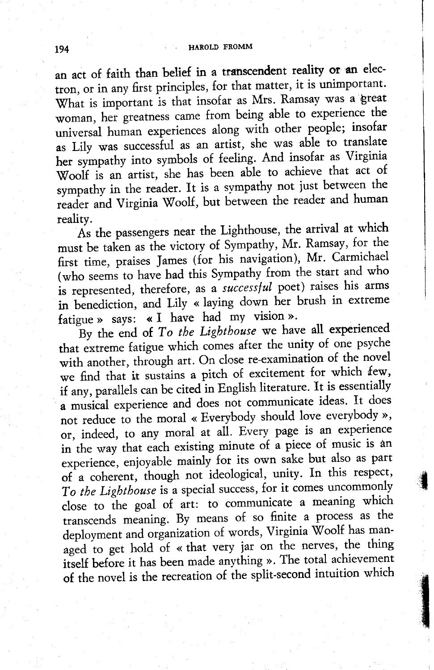an act of faith than belief in a transcendent reality or an electron, or in any first principles, for that matter, it is unimportant. What is important is that insofar as Mrs. Ramsay was a great woman, her greatness came from being able to experience the universal human experiences along with other people; insofar as Lily was successful as an artist, she was able to translate her sympathy into symbols of feeling. And insofar as Virginia Woolf is an artist, she has been able to achieve that act of sympathy in the reader. It is a sympathy not just between the reader and Virginia Woolf, but between the reader and human reality.

As the passengers near the Lighthouse, the arrival at which must be taken as the victory of Sympathy, Mr. Ramsay, for the first time, praises James (for his navigation), Mr. Carmichael (who seems to have had this Sympathy from the start and who is represented, therefore, as a successful poet) raises his arms in benediction, and Lily « laying down her brush in extreme fatigue » says: « I have had my vision ».

By the end of  $To$  the Lighthouse we have all experienced that extreme fatigue which comes after the unity of one psyche with another, through art. On close re-examination of the novel we find that it sustains a pitch of excitement for which few, if any, parallels can be cited in English literature. It is essentially a musical experience and does not communicate ideas. It does not reduce to the moral « Everybody should love everybody », or, indeed, to any moral at all. Every page is an experience in the way that each existing minute of a piece of music is an experience, enjoyable mainly for its own sake but also as part of a coherent, though not ideological, unity. In this respect, To the Lighthouse is a special success, for it comes uncommonly close to the goal of art: to communicate a meaning which ffanscends meaning. By means of so finite a process as the deployment and organization of words, Virginia Woolf has managed to get hold of « that very jar on the nerves, the thing itself before it has been made anything ». The total achievement of the novel is the recreation of the split-second intuition which

il